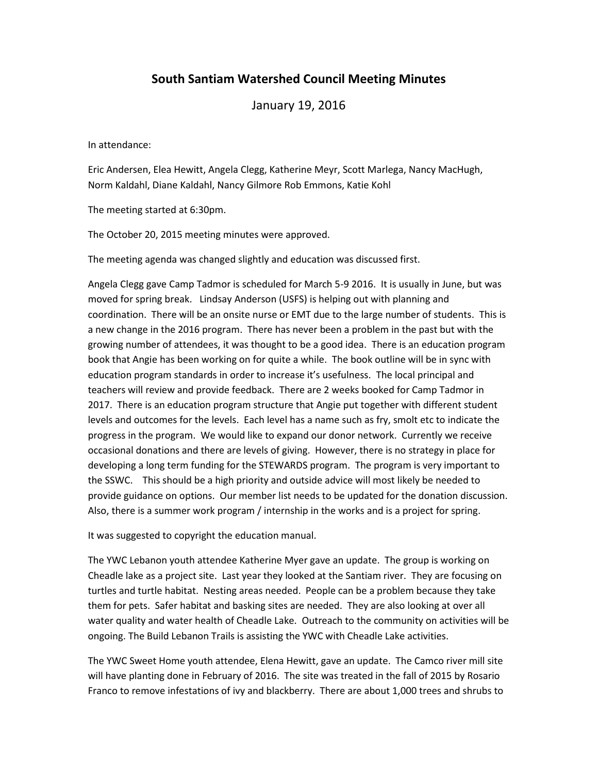## **South Santiam Watershed Council Meeting Minutes**

January 19, 2016

In attendance:

Eric Andersen, Elea Hewitt, Angela Clegg, Katherine Meyr, Scott Marlega, Nancy MacHugh, Norm Kaldahl, Diane Kaldahl, Nancy Gilmore Rob Emmons, Katie Kohl

The meeting started at 6:30pm.

The October 20, 2015 meeting minutes were approved.

The meeting agenda was changed slightly and education was discussed first.

Angela Clegg gave Camp Tadmor is scheduled for March 5-9 2016. It is usually in June, but was moved for spring break. Lindsay Anderson (USFS) is helping out with planning and coordination. There will be an onsite nurse or EMT due to the large number of students. This is a new change in the 2016 program. There has never been a problem in the past but with the growing number of attendees, it was thought to be a good idea. There is an education program book that Angie has been working on for quite a while. The book outline will be in sync with education program standards in order to increase it's usefulness. The local principal and teachers will review and provide feedback. There are 2 weeks booked for Camp Tadmor in 2017. There is an education program structure that Angie put together with different student levels and outcomes for the levels. Each level has a name such as fry, smolt etc to indicate the progress in the program. We would like to expand our donor network. Currently we receive occasional donations and there are levels of giving. However, there is no strategy in place for developing a long term funding for the STEWARDS program. The program is very important to the SSWC. This should be a high priority and outside advice will most likely be needed to provide guidance on options. Our member list needs to be updated for the donation discussion. Also, there is a summer work program / internship in the works and is a project for spring.

It was suggested to copyright the education manual.

The YWC Lebanon youth attendee Katherine Myer gave an update. The group is working on Cheadle lake as a project site. Last year they looked at the Santiam river. They are focusing on turtles and turtle habitat. Nesting areas needed. People can be a problem because they take them for pets. Safer habitat and basking sites are needed. They are also looking at over all water quality and water health of Cheadle Lake. Outreach to the community on activities will be ongoing. The Build Lebanon Trails is assisting the YWC with Cheadle Lake activities.

The YWC Sweet Home youth attendee, Elena Hewitt, gave an update. The Camco river mill site will have planting done in February of 2016. The site was treated in the fall of 2015 by Rosario Franco to remove infestations of ivy and blackberry. There are about 1,000 trees and shrubs to